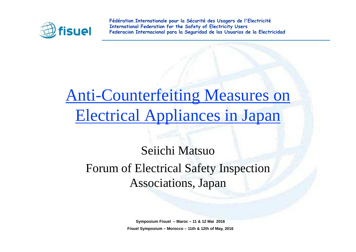

## Anti-Counterfeiting Measures on Electrical Appliances in Japan

### Seiichi MatsuoForum of Electrical Safety Inspection Associations, Japan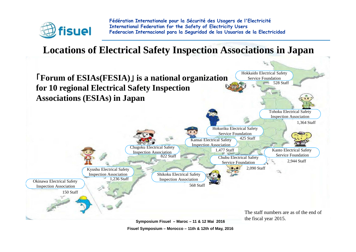

#### **Locations of Electrical Safety Inspection Associations in Japan**



**Fisuel Symposium – Morocco – 11th & 12th of May, 2016**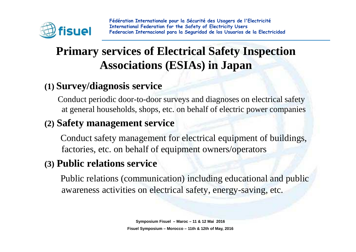

### **Primary services of Electrical Safety Inspection Associations (ESIAs) in Japan**

#### **(1) Survey/diagnosis service**

Conduct periodic door-to-door surveys and diagnoses on electrical safety at general households, shops, etc. on behalf of electric power companies

#### **(2) Safety management service**

Conduct safety management for electrical equipment of buildings, factories, etc. on behalf of equipment owners/operators

#### **(3) Public relations service**

Public relations (communication) including educational and public awareness activities on electrical safety, energy-saving, etc.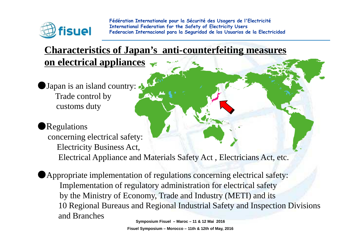

#### **Characteristics of Japan's anti-counterfeiting measureson electrical appliances**

Japan is an island country: Trade control bycustoms duty

#### Regulations

concerning electrical safety:Electricity Business Act, Electrical Appliance and Materials Safety Act , Electricians Act, etc.

●Appropriate implementation of regulations concerning electrical safety:Implementation of regulatory administration for electrical safety by the Ministry of Economy, Trade and Industry (METI) and its 10 Regional Bureaus and Regional Industrial Safety and Inspection Divisions and Branches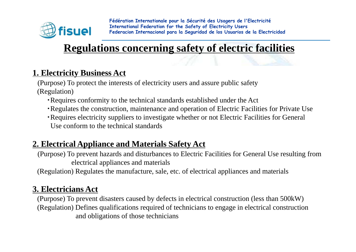

#### **Regulations concerning safety of electric facilities**

#### **1. Electricity Business Act**

(Purpose) To protect the interests of electricity users and assure public safety(Regulation)

- ・Requires conformity to the technical standards established under the Act
- ・Regulates the construction, maintenance and operation of Electric Facilities for Private Use
- ・Requires electricity suppliers to investigate whether or not Electric Facilities for General Use conform to the technical standards

#### **2. Electrical Appliance and Materials Safety Act**

(Purpose) To prevent hazards and disturbances to Electric Facilities for General Use resulting from electrical appliances and materials

(Regulation) Regulates the manufacture, sale, etc. of electrical appliances and materials

#### **3. Electricians Act**

(Purpose) To prevent disasters caused by defects in electrical construction (less than 500kW)(Regulation) Defines qualifications required of technicians to engage in electrical construction and obligations of those technicians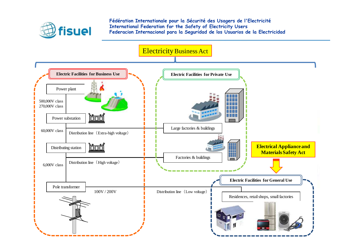

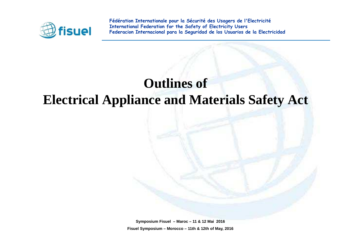

### **Outlines of Electrical Appliance and Materials Safety Act**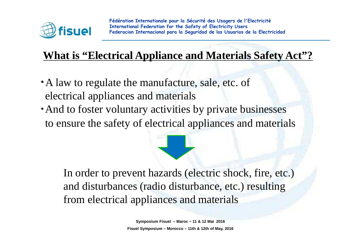

### **What is "Electrical Appliance and Materials Safety Act"?**

- A law to regulate the manufacture, sale, etc. of electrical appliances and materials
- ・And to foster voluntary activities by private businesses to ensure the safety of electrical appliances and materials

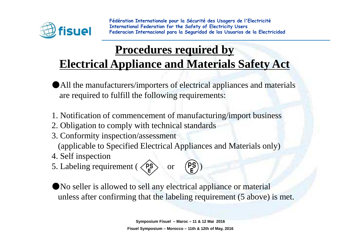

### **Procedures required byElectrical Appliance and Materials Safety Act**

- ●All the manufacturers/importers of electrical appliances and materialsare required to fulfill the following requirements:
- 1. Notification of commencement of manufacturing/import business
- 2. Obligation to comply with technical standards
- 3. Conformity inspection/assessment

(applicable to Specified Electrical Appliances and Materials only)

- 4. Self inspection
- 5. Labeling requirement ( $\langle P_{\mathsf{E}}^{\mathsf{S}} \rangle$  or  $(P_{\mathsf{E}}^{\mathsf{S}})$ )



●No seller is allowed to sell any electrical appliance or materialunless after confirming that the labeling requirement (5 above) is met.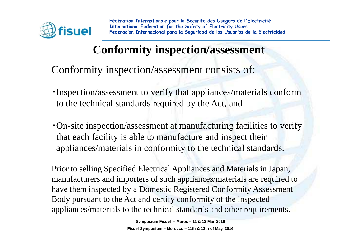

### **Conformity inspection/assessment**

Conformity inspection/assessment consists of:

- ・Inspection/assessment to verify that appliances/materials conform to the technical standards required by the Act, and
- ・On-site inspection/assessment at manufacturing facilities to verify that each facility is able to manufacture and inspect their appliances/materials in conformity to the technical standards.

Prior to selling Specified Electrical Appliances and Materials in Japan, manufacturers and importers of such appliances/materials are required to have them inspected by a Domestic Registered Conformity Assessment Body pursuant to the Act and certify conformity of the inspected appliances/materials to the technical standards and other requirements.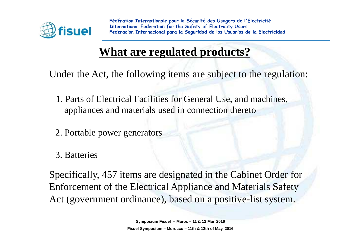

### **What are regulated products?**

Under the Act, the following items are subject to the regulation:

- 1. Parts of Electrical Facilities for General Use, and machines, appliances and materials used in connection thereto
- 2. Portable power generators
- 3. Batteries

Specifically, 457 items are designated in the Cabinet Order forEnforcement of the Electrical Appliance and Materials Safety Act (government ordinance), based on a positive-list system.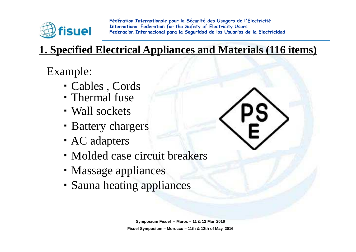

### **1. Specified Electrical Appliances and Materials (116 items)**

Example:

- ・ Cables , Cords
- ・ Thermal fuse
- ・ Wall sockets
- ・ Battery chargers
- ・ AC adapters
- ・ Molded case circuit breakers
- ・ Massage appliances
- ・ Sauna heating appliances

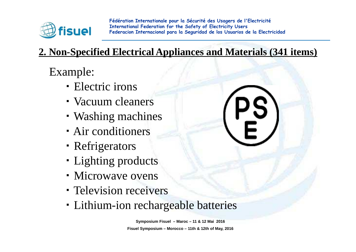

### **2. Non-Specified Electrical Appliances and Materials (341 items)**

Example:

- ・ Electric irons
- ・ Vacuum cleaners
- ・ Washing machines
- ・ Air conditioners
- ・ Refrigerators
- ・ Lighting products
- Microwave ovens
- ・ Television receivers
- ・ Lithium-ion rechargeable batteries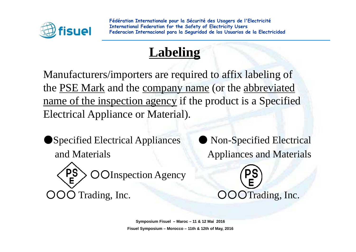

### **Labeling**

Manufacturers/importers are required to affix labeling ofthe PSE Mark and the company name (or the abbreviatedname of the inspection agency if the product is a Specified Electrical Appliance or Material).

● Specified Electrical Appliances and Materials **Appliances** and Materials

PS OInspection Agency ○○○Trading, Inc.  $OOOTrading$ , Inc.

Non-Specified Electrical

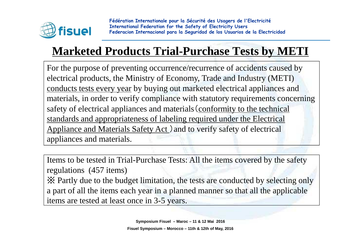

### **Marketed Products Trial-Purchase Tests by METI**

For the purpose of preventing occurrence/recurrence of accidents caused by electrical products, the Ministry of Economy, Trade and Industry (METI) conducts tests every year by buying out marketed electrical appliances and materials, in order to verify compliance with statutory requirements concerning safety of electrical appliances and materials(conformity to the technical standards and appropriateness of labeling required under the Electrical Appliance and Materials Safety Act.) and to verify safety of electrical appliances and materials.

Items to be tested in Trial-Purchase Tests: All the items covered by the safety regulations (457 items)

※ Partly due to the budget limitation, the tests are conducted by selecting only a part of all the items each year in a planned manner so that all the applicable items are tested at least once in 3-5 years.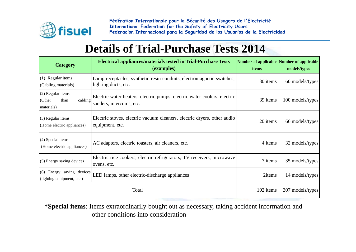

#### **Details of Trial-Purchase Tests 2014**

| <b>Category</b>                                              | <b>Electrical appliances/materials tested in Trial-Purchase Tests</b><br>(examples)                  | Number of applicable Number of applicable<br>items | models/types     |
|--------------------------------------------------------------|------------------------------------------------------------------------------------------------------|----------------------------------------------------|------------------|
| (1) Regular items<br>(Cabling materials)                     | Lamp receptacles, synthetic-resin conduits, electromagnetic switches,<br>lighting ducts, etc.        | 30 items                                           | 60 models/types  |
| (2) Regular items<br>cabling<br>(Other<br>than<br>materials) | Electric water heaters, electric pumps, electric water coolers, electric<br>sanders, intercoms, etc. | 39 items                                           | 100 models/types |
| (3) Regular items<br>(Home electric appliances)              | Electric stoves, electric vacuum cleaners, electric dryers, other audio<br>equipment, etc.           | 20 items                                           | 66 models/types  |
| (4) Special items<br>(Home electric appliances)              | AC adapters, electric toasters, air cleaners, etc.                                                   |                                                    | 32 models/types  |
| (5) Energy saving devices                                    | Electric rice-cookers, electric refrigerators, TV receivers, microwave<br>ovens, etc.                |                                                    | 35 models/types  |
| (6) Energy saving devices<br>(lighting equipment, etc.)      | LED lamps, other electric-discharge appliances                                                       | 2items                                             | 14 models/types  |
|                                                              | 102 items                                                                                            | 307 models/types                                   |                  |

\***Special items**: Items extraordinarily bought out as necessary, taking accident information andother conditions into consideration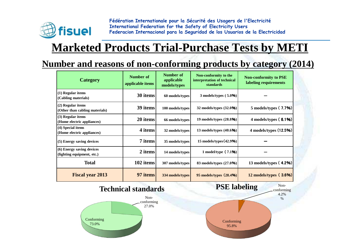

### **Marketed Products Trial-Purchase Tests by METI**

#### **Number and reasons of non-conforming products by category (2014)**

| <b>Category</b>                                         | <b>Number of</b><br>applicable items | Number of<br>applicable<br>models/types | Non-conformity to the<br>interpretation of technical<br>standards | <b>Non-conformity to PSE</b><br>labeling requirements |  |
|---------------------------------------------------------|--------------------------------------|-----------------------------------------|-------------------------------------------------------------------|-------------------------------------------------------|--|
| $(1)$ Regular items<br>(Cabling materials)              | 30 items                             | 60 models/types                         | $3$ models/types $(5.0\%)$                                        |                                                       |  |
| (2) Regular items<br>(Other than cabling materials)     | 39 items                             | 100 models/types                        | 32 models/types (32.0%)                                           | 5 models/types (7.7%)                                 |  |
| (3) Regular items<br>(Home electric appliances)         | 20 items                             | 66 models/types                         | 19 models/types $(28.8\%)$                                        | 4 models/types $(6.1%)$                               |  |
| (4) Special items<br>(Home electric appliances)         | 4 items                              | 32 models/types                         | 13 models/types $(40.6\%)$                                        | 4 models/types (12.5%)                                |  |
| (5) Energy saving devices                               | 7 items                              | 35 models/types                         | 15 models/types (42.9%)                                           |                                                       |  |
| (6) Energy saving devices<br>(lighting equipment, etc.) | 2 items                              | 14 models/types                         | 1 model/type $(7.1%)$                                             |                                                       |  |
| <b>Total</b>                                            | 102 items                            | 307 models/types                        | 83 models/types (27.0%)                                           | 13 models/types $(4.2\%)$                             |  |
| <b>Fiscal year 2013</b>                                 | 97 items                             | 334 models/types                        | 95 models/types $(28.4\%)$                                        | $12$ models/types (3.6%)                              |  |



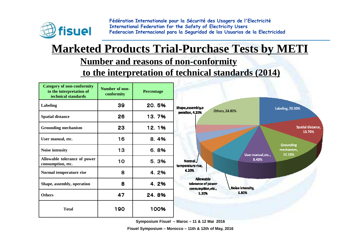

### **Marketed Products Trial-Purchase Tests by METI**

#### **Number and reasons of non-conformity**

**to the interpretation of technical standards (2014)**

| <b>Category of non-conformity</b><br>to the interpretation of<br>technical standards | Number of non-<br>conformity | <b>Percentage</b> |                                                              |                    |                                          |
|--------------------------------------------------------------------------------------|------------------------------|-------------------|--------------------------------------------------------------|--------------------|------------------------------------------|
| <b>Labeling</b>                                                                      | 39                           | 20.5%             | Shape, assembly, o                                           | Others, 24.80%     | Labeling, 20.50%                         |
| <b>Spatial distance</b>                                                              | 26                           | 13.7%             | peration, 4.20%                                              |                    |                                          |
| <b>Grounding mechanism</b>                                                           | 23                           | 12.1%             |                                                              |                    | Spatial distance,<br>13.70%              |
| User manual, etc.                                                                    | 16                           | 8.4%              |                                                              |                    |                                          |
| Noise intensity                                                                      | 13                           | 6.8%              |                                                              | User manual, etc., | <b>Grounding</b><br>mechanism,<br>12.10% |
| Allowable tolerance of power<br>consumption, etc.                                    | 10                           | 5.3%              | Normal<br>temperature rise,                                  | 8.40%              |                                          |
| Normal temperature rise                                                              | 8                            | 4.2%              | 4.20%                                                        |                    |                                          |
| Shape, assembly, operation                                                           | 8                            | 4.2%              | <b>Allowable</b><br>tolerance of power<br>consumption, etc., | Moise intensity,   |                                          |
| <b>Others</b>                                                                        | 47                           | 24.8%             | 5.30%                                                        | 6.80%              |                                          |
| <b>Total</b>                                                                         | 190                          | 100%              |                                                              |                    |                                          |

**Symposium Fisuel – Maroc – 11 & 12 Mai 2016**

**Fisuel Symposium – Morocco – 11th & 12th of May, 2016**